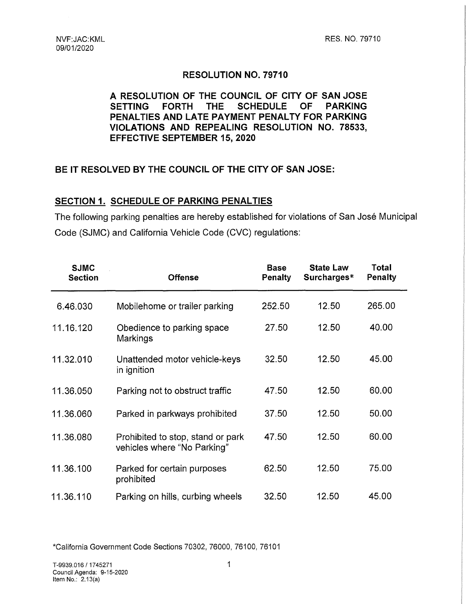### **RESOLUTION NO. 79710**

## **A RESOLUTION OF THE COUNCIL OF CITY OF SAN JOSE SETTING FORTH THE SCHEDULE OF PARKING PENALTIES AND LATE PAYMENT PENALTY FOR PARKING VIOLATIONS AND REPEALING RESOLUTION NO. 78533, EFFECTIVE SEPTEMBER 15, 2020**

## **BE IT RESOLVED BY THE COUNCIL OF THE CITY OF SAN JOSE:**

### **SECTION 1. SCHEDULE OF PARKING PENALTIES**

The following parking penalties are hereby established for violations of San José Municipal Code (SJMC) and California Vehicle Code (CVC) regulations:

| <b>SJMC</b><br><b>Section</b> | <b>Offense</b>                                                   | <b>Base</b><br>Penalty | <b>State Law</b><br>Surcharges* | <b>Total</b><br>Penalty |  |
|-------------------------------|------------------------------------------------------------------|------------------------|---------------------------------|-------------------------|--|
| 6.46.030                      | Mobilehome or trailer parking                                    | 252.50                 | 12.50                           | 265.00                  |  |
| 11.16.120                     | Obedience to parking space<br>Markings                           | 27.50                  | 12.50                           | 40.00                   |  |
| 11.32.010                     | Unattended motor vehicle-keys<br>in ignition                     | 32.50                  | 12.50                           | 45.00                   |  |
| 11.36.050                     | Parking not to obstruct traffic                                  | 47.50                  | 12.50                           | 60.00                   |  |
| 11.36.060                     | Parked in parkways prohibited                                    | 37.50                  | 12.50                           | 50.00                   |  |
| 11.36.080                     | Prohibited to stop, stand or park<br>vehicles where "No Parking" | 47.50                  | 12.50                           | 60.00                   |  |
| 11.36.100                     | Parked for certain purposes<br>prohibited                        | 62.50                  | 12.50                           | 75.00                   |  |
| 11.36.110                     | Parking on hills, curbing wheels                                 | 32.50                  | 12.50                           | 45.00                   |  |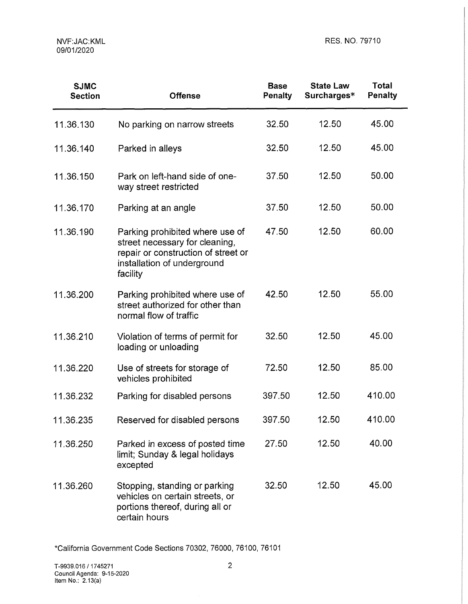| <b>SJMC</b><br><b>Section</b> | <b>Offense</b>                                                                                                                                      | <b>Base</b><br><b>Penalty</b> | <b>State Law</b><br>Surcharges* | <b>Total</b><br><b>Penalty</b> |
|-------------------------------|-----------------------------------------------------------------------------------------------------------------------------------------------------|-------------------------------|---------------------------------|--------------------------------|
| 11.36.130                     | No parking on narrow streets                                                                                                                        | 32.50                         | 12.50                           | 45.00                          |
| 11.36.140                     | Parked in alleys                                                                                                                                    | 32.50                         | 12.50                           | 45.00                          |
| 11.36.150                     | Park on left-hand side of one-<br>way street restricted                                                                                             | 37.50                         | 12.50                           | 50.00                          |
| 11.36.170                     | Parking at an angle                                                                                                                                 | 37.50                         | 12.50                           | 50.00                          |
| 11.36,190                     | Parking prohibited where use of<br>street necessary for cleaning,<br>repair or construction of street or<br>installation of underground<br>facility | 47.50                         | 12.50                           | 60.00                          |
| 11.36.200                     | Parking prohibited where use of<br>street authorized for other than<br>normal flow of traffic                                                       | 42.50                         | 12.50                           | 55.00                          |
| 11.36.210                     | Violation of terms of permit for<br>loading or unloading                                                                                            | 32.50                         | 12.50                           | 45.00                          |
| 11.36.220                     | Use of streets for storage of<br>vehicles prohibited                                                                                                | 72.50                         | 12.50                           | 85.00                          |
| 11.36,232                     | Parking for disabled persons                                                                                                                        | 397.50                        | 12.50                           | 410.00                         |
| 11.36.235                     | Reserved for disabled persons                                                                                                                       | 397.50                        | 12.50                           | 410.00                         |
| 11.36.250                     | Parked in excess of posted time<br>limit; Sunday & legal holidays<br>excepted                                                                       | 27.50                         | 12.50                           | 40.00                          |
| 11.36.260                     | Stopping, standing or parking<br>vehicles on certain streets, or<br>portions thereof, during all or<br>certain hours                                | 32.50                         | 12.50                           | 45.00                          |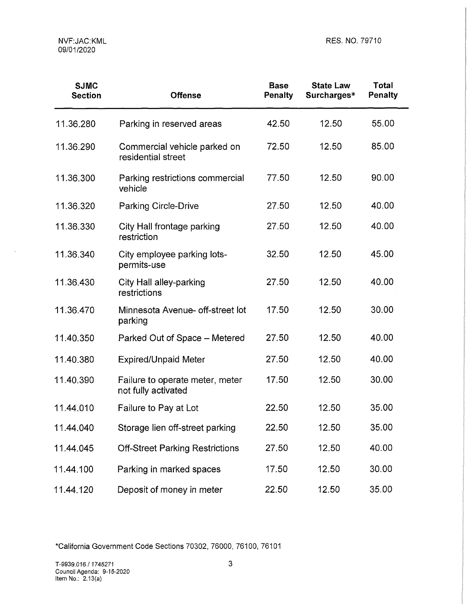$\sim$ 

| <b>SJMC</b><br><b>Section</b> | <b>Offense</b>                                         | <b>Base</b><br>Penalty | <b>State Law</b><br>Surcharges* | <b>Total</b><br><b>Penalty</b> |
|-------------------------------|--------------------------------------------------------|------------------------|---------------------------------|--------------------------------|
| 11.36.280                     | Parking in reserved areas                              | 42.50                  | 12.50                           | 55.00                          |
| 11.36.290                     | Commercial vehicle parked on<br>residential street     | 72.50                  | 12.50                           | 85.00                          |
| 11.36.300                     | Parking restrictions commercial<br>vehicle             | 77.50                  | 12.50                           | 90.00                          |
| 11.36.320                     | <b>Parking Circle-Drive</b>                            | 27.50                  | 12.50                           | 40.00                          |
| 11.36.330                     | City Hall frontage parking<br>restriction              | 27.50                  | 12.50                           | 40.00                          |
| 11.36.340                     | City employee parking lots-<br>permits-use             | 32.50                  | 12.50                           | 45.00                          |
| 11.36.430                     | City Hall alley-parking<br>restrictions                | 27.50                  | 12.50                           | 40.00                          |
| 11.36.470                     | Minnesota Avenue- off-street lot<br>parking            | 17.50                  | 12.50                           | 30.00                          |
| 11.40.350                     | Parked Out of Space - Metered                          | 27.50                  | 12.50                           | 40.00                          |
| 11.40.380                     | <b>Expired/Unpaid Meter</b>                            | 27.50                  | 12.50                           | 40.00                          |
| 11.40.390                     | Failure to operate meter, meter<br>not fully activated | 17.50                  | 12.50                           | 30.00                          |
| 11.44.010                     | Failure to Pay at Lot                                  | 22.50                  | 12.50                           | 35.00                          |
| 11.44.040                     | Storage lien off-street parking                        | 22.50                  | 12.50                           | 35.00                          |
| 11.44.045                     | <b>Off-Street Parking Restrictions</b>                 | 27.50                  | 12.50                           | 40.00                          |
| 11.44.100                     | Parking in marked spaces                               | 17.50                  | 12.50                           | 30.00                          |
| 11.44.120                     | Deposit of money in meter                              | 22.50                  | 12.50                           | 35.00                          |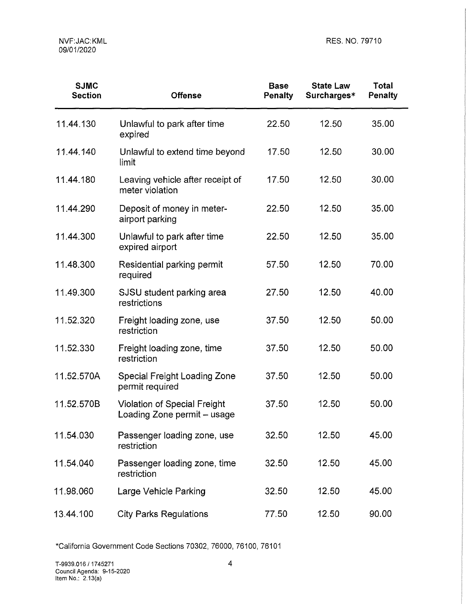| <b>SJMC</b><br><b>Section</b> | <b>Offense</b>                                                     | <b>Base</b><br><b>Penalty</b> | <b>State Law</b><br>Surcharges* | <b>Total</b><br>Penalty |
|-------------------------------|--------------------------------------------------------------------|-------------------------------|---------------------------------|-------------------------|
| 11.44.130                     | Unlawful to park after time<br>expired                             | 22.50                         | 12.50                           | 35.00                   |
| 11.44.140                     | Unlawful to extend time beyond<br>limit                            | 17.50                         | 12.50                           | 30.00                   |
| 11.44.180                     | Leaving vehicle after receipt of<br>meter violation                | 17.50                         | 12.50                           | 30.00                   |
| 11.44.290                     | Deposit of money in meter-<br>airport parking                      | 22.50                         | 12.50                           | 35.00                   |
| 11.44.300                     | Unlawful to park after time<br>expired airport                     | 22.50                         | 12.50                           | 35.00                   |
| 11.48.300                     | Residential parking permit<br>required                             | 57.50                         | 12.50                           | 70.00                   |
| 11.49.300                     | SJSU student parking area<br>restrictions                          | 27.50                         | 12.50                           | 40.00                   |
| 11.52.320                     | Freight loading zone, use<br>restriction                           | 37.50                         | 12.50                           | 50.00                   |
| 11.52.330                     | Freight loading zone, time<br>restriction                          | 37.50                         | 12.50                           | 50.00                   |
| 11.52.570A                    | <b>Special Freight Loading Zone</b><br>permit required             | 37.50                         | 12.50                           | 50.00                   |
| 11.52.570B                    | <b>Violation of Special Freight</b><br>Loading Zone permit - usage | 37.50                         | 12.50                           | 50.00                   |
| 11.54.030                     | Passenger loading zone, use<br>restriction                         | 32.50                         | 12.50                           | 45.00                   |
| 11.54.040                     | Passenger loading zone, time<br>restriction                        | 32.50                         | 12.50                           | 45.00                   |
| 11.98.060                     | Large Vehicle Parking                                              | 32.50                         | 12.50                           | 45.00                   |
| 13.44.100                     | <b>City Parks Regulations</b>                                      | 77.50                         | 12.50                           | 90.00                   |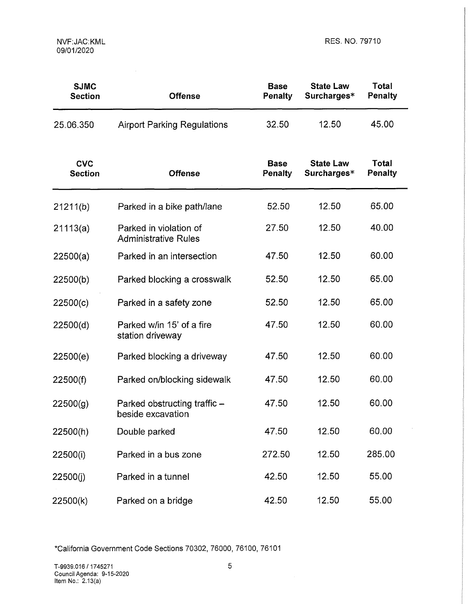$\mathcal{L}^{\pm}$ 

| <b>SJMC</b><br><b>Section</b> | <b>Offense</b>                                        | <b>Base</b><br>Penalty | <b>State Law</b><br>Surcharges* | Total<br><b>Penalty</b> |
|-------------------------------|-------------------------------------------------------|------------------------|---------------------------------|-------------------------|
| 25.06.350                     | <b>Airport Parking Regulations</b>                    | 32.50                  | 12.50                           | 45.00                   |
| <b>CVC</b><br><b>Section</b>  | <b>Offense</b>                                        | <b>Base</b><br>Penalty | <b>State Law</b><br>Surcharges* | Total<br><b>Penalty</b> |
| 21211(b)                      | Parked in a bike path/lane                            | 52.50                  | 12.50                           | 65.00                   |
| 21113(a)                      | Parked in violation of<br><b>Administrative Rules</b> | 27.50                  | 12.50                           | 40.00                   |
| 22500(a)                      | Parked in an intersection                             | 47.50                  | 12.50                           | 60.00                   |
| 22500(b)                      | Parked blocking a crosswalk                           | 52.50                  | 12.50                           | 65.00                   |
| 22500(c)                      | Parked in a safety zone                               | 52.50                  | 12.50                           | 65.00                   |
| 22500(d)                      | Parked w/in 15' of a fire<br>station driveway         | 47.50                  | 12.50                           | 60.00                   |
| 22500(e)                      | Parked blocking a driveway                            | 47.50                  | 12.50                           | 60.00                   |
| 22500(f)                      | Parked on/blocking sidewalk                           | 47.50                  | 12.50                           | 60.00                   |
| 22500(g)                      | Parked obstructing traffic -<br>beside excavation     | 47.50                  | 12.50                           | 60.00                   |
| 22500(h)                      | Double parked                                         | 47.50                  | 12.50                           | 60.00                   |
| 22500(i)                      | Parked in a bus zone                                  | 272.50                 | 12.50                           | 285.00                  |
| 22500(j)                      | Parked in a tunnel                                    | 42.50                  | 12.50                           | 55.00                   |
| 22500(k)                      | Parked on a bridge                                    | 42.50                  | 12.50                           | 55.00                   |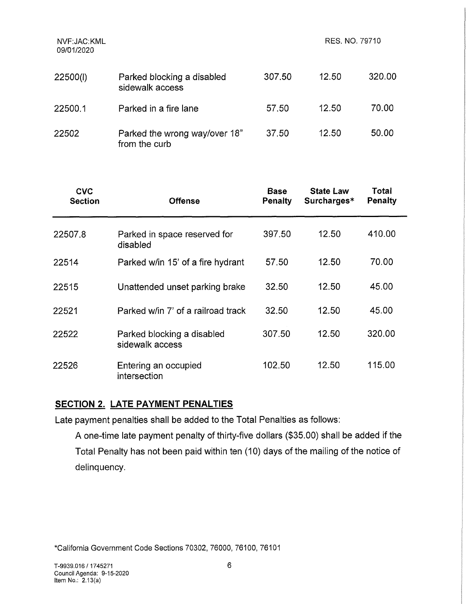| NVF:JAC:KML<br>09/01/2020 |                                                | RES. NO. 79710 |       |        |
|---------------------------|------------------------------------------------|----------------|-------|--------|
| 22500(l)                  | Parked blocking a disabled<br>sidewalk access  | 307.50         | 12.50 | 320.00 |
| 22500.1                   | Parked in a fire lane                          | 57.50          | 12.50 | 70.00  |
| 22502                     | Parked the wrong way/over 18"<br>from the curb | 37.50          | 12.50 | 50.00  |

| <b>CVC</b><br><b>Section</b> | <b>Offense</b>                                | <b>Base</b><br><b>Penalty</b> | <b>State Law</b><br>Surcharges* | Total<br><b>Penalty</b> |
|------------------------------|-----------------------------------------------|-------------------------------|---------------------------------|-------------------------|
| 22507.8                      | Parked in space reserved for<br>disabled      | 397.50                        | 12.50                           | 410.00                  |
| 22514                        | Parked w/in 15' of a fire hydrant             | 57.50                         | 12.50                           | 70.00                   |
| 22515                        | Unattended unset parking brake                | 32.50                         | 12.50                           | 45.00                   |
| 22521                        | Parked w/in 7' of a railroad track            | 32.50                         | 12.50                           | 45.00                   |
| 22522                        | Parked blocking a disabled<br>sidewalk access | 307.50                        | 12.50                           | 320.00                  |
| 22526                        | Entering an occupied<br>intersection          | 102.50                        | 12.50                           | 115.00                  |

# **SECTION 2. LATE PAYMENT PENALTIES**

Late payment penalties shall be added to the Total Penalties as follows:

A one-time late payment penalty of thirty-five dollars (\$35.00) shall be added if the Total Penalty has not been paid within ten (10) days of the mailing of the notice of delinquency.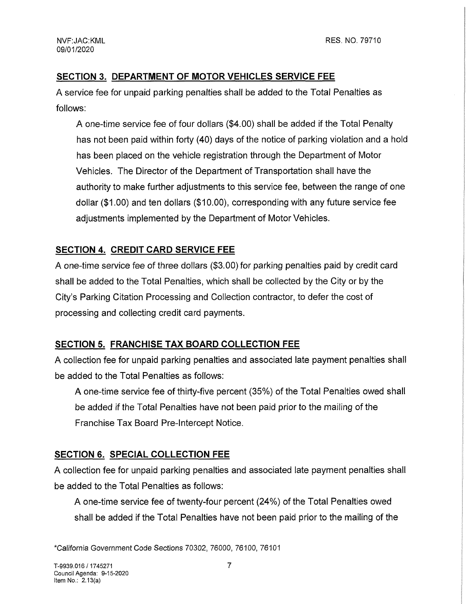## **SECTION 3. DEPARTMENT OF MOTOR VEHICLES SERVICE FEE**

A service fee for unpaid parking penalties shall be added to the Total Penalties as follows:

A one-time service fee of four dollars (\$4.00) shall be added if the Total Penalty has not been paid within forty (40) days of the notice of parking violation and a hold has been placed on the vehicle registration through the Department of Motor Vehicles. The Director of the Department of Transportation shall have the authority to make further adjustments to this service fee, between the range of one dollar (\$1.00) and ten dollars (\$10.00), corresponding with any future service fee adjustments implemented by the Department of Motor Vehicles.

# **SECTION 4. CREDIT CARD SERVICE FEE**

A one-time service fee of three dollars (\$3.00) for parking penalties paid by credit card shall be added to the Total Penalties, which shall be collected by the City or by the City's Parking Citation Processing and Collection contractor, to defer the cost of processing and collecting credit card payments.

# **SECTION 5. FRANCHISE TAX BOARD COLLECTION FEE**

A collection fee for unpaid parking penalties and associated late payment penalties shall be added to the Total Penalties as follows:

A one-time service fee of thirty-five percent (35%) of the Total Penalties owed shall be added if the Total Penalties have not been paid prior to the mailing of the Franchise Tax Board Pre-Intercept Notice.

## **SECTION 6. SPECIAL COLLECTION FEE**

A collection fee for unpaid parking penalties and associated late payment penalties shall be added to the Total Penalties as follows:

A one-time service fee of twenty-four percent (24%) of the Total Penalties owed shall be added if the Total Penalties have not been paid prior to the mailing of the